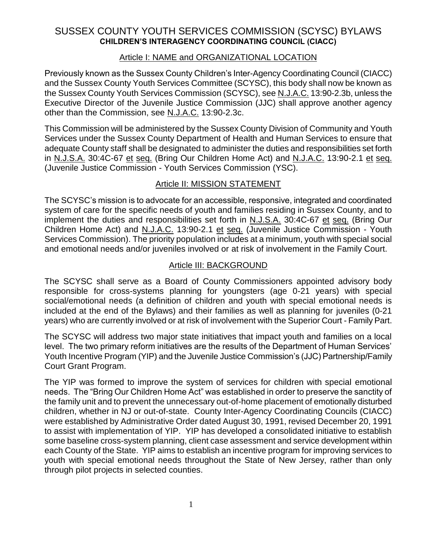# SUSSEX COUNTY YOUTH SERVICES COMMISSION (SCYSC) BYLAWS **CHILDREN'S INTERAGENCY COORDINATING COUNCIL (CIACC)**

#### Article I: NAME and ORGANIZATIONAL LOCATION

Previously known as the Sussex County Children's Inter-Agency Coordinating Council (CIACC) and the Sussex County Youth Services Committee (SCYSC), this body shall now be known as the Sussex County Youth Services Commission (SCYSC), see N.J.A.C. 13:90-2.3b, unless the Executive Director of the Juvenile Justice Commission (JJC) shall approve another agency other than the Commission, see N.J.A.C. 13:90-2.3c.

This Commission will be administered by the Sussex County Division of Community and Youth Services under the Sussex County Department of Health and Human Services to ensure that adequate County staff shall be designated to administer the duties and responsibilities set forth in N.J.S.A. 30:4C-67 et seq. (Bring Our Children Home Act) and N.J.A.C. 13:90-2.1 et seq. (Juvenile Justice Commission - Youth Services Commission (YSC).

### Article II: MISSION STATEMENT

The SCYSC's mission is to advocate for an accessible, responsive, integrated and coordinated system of care for the specific needs of youth and families residing in Sussex County, and to implement the duties and responsibilities set forth in N.J.S.A. 30:4C-67 et seq. (Bring Our Children Home Act) and N.J.A.C. 13:90-2.1 et seq. (Juvenile Justice Commission - Youth Services Commission). The priority population includes at a minimum, youth with special social and emotional needs and/or juveniles involved or at risk of involvement in the Family Court.

#### Article III: BACKGROUND

The SCYSC shall serve as a Board of County Commissioners appointed advisory body responsible for cross-systems planning for youngsters (age 0-21 years) with special social/emotional needs (a definition of children and youth with special emotional needs is included at the end of the Bylaws) and their families as well as planning for juveniles (0-21 years) who are currently involved or at risk of involvement with the Superior Court - Family Part.

The SCYSC will address two major state initiatives that impact youth and families on a local level. The two primary reform initiatives are the results of the Department of Human Services' Youth Incentive Program (YIP) and the Juvenile Justice Commission's (JJC) Partnership/Family Court Grant Program.

The YIP was formed to improve the system of services for children with special emotional needs. The "Bring Our Children Home Act" was established in order to preserve the sanctity of the family unit and to prevent the unnecessary out-of-home placement of emotionally disturbed children, whether in NJ or out-of-state. County Inter-Agency Coordinating Councils (CIACC) were established by Administrative Order dated August 30, 1991, revised December 20, 1991 to assist with implementation of YIP. YIP has developed a consolidated initiative to establish some baseline cross-system planning, client case assessment and service development within each County of the State. YIP aims to establish an incentive program for improving services to youth with special emotional needs throughout the State of New Jersey, rather than only through pilot projects in selected counties.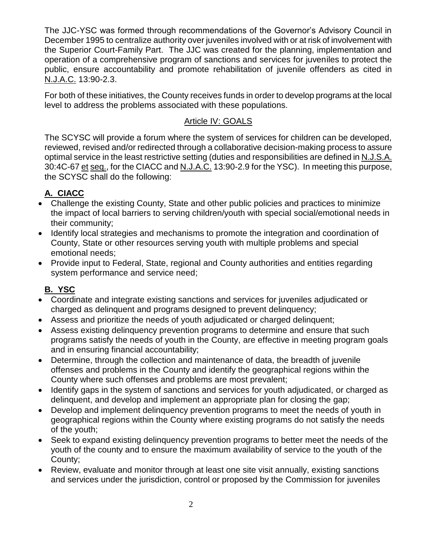The JJC-YSC was formed through recommendations of the Governor's Advisory Council in December 1995 to centralize authority over juveniles involved with or at risk of involvement with the Superior Court-Family Part. The JJC was created for the planning, implementation and operation of a comprehensive program of sanctions and services for juveniles to protect the public, ensure accountability and promote rehabilitation of juvenile offenders as cited in N.J.A.C. 13:90-2.3.

For both of these initiatives, the County receives funds in order to develop programs at the local level to address the problems associated with these populations.

# Article IV: GOALS

The SCYSC will provide a forum where the system of services for children can be developed, reviewed, revised and/or redirected through a collaborative decision-making process to assure optimal service in the least restrictive setting (duties and responsibilities are defined in N.J.S.A. 30:4C-67 et seq., for the CIACC and N.J.A.C. 13:90-2.9 for the YSC). In meeting this purpose, the SCYSC shall do the following:

# **A. CIACC**

- Challenge the existing County, State and other public policies and practices to minimize the impact of local barriers to serving children/youth with special social/emotional needs in their community;
- Identify local strategies and mechanisms to promote the integration and coordination of County, State or other resources serving youth with multiple problems and special emotional needs;
- Provide input to Federal, State, regional and County authorities and entities regarding system performance and service need;

# **B. YSC**

- Coordinate and integrate existing sanctions and services for juveniles adjudicated or charged as delinquent and programs designed to prevent delinquency;
- Assess and prioritize the needs of youth adjudicated or charged delinquent;
- Assess existing delinquency prevention programs to determine and ensure that such programs satisfy the needs of youth in the County, are effective in meeting program goals and in ensuring financial accountability;
- Determine, through the collection and maintenance of data, the breadth of juvenile offenses and problems in the County and identify the geographical regions within the County where such offenses and problems are most prevalent;
- Identify gaps in the system of sanctions and services for youth adjudicated, or charged as delinquent, and develop and implement an appropriate plan for closing the gap;
- Develop and implement delinquency prevention programs to meet the needs of youth in geographical regions within the County where existing programs do not satisfy the needs of the youth;
- Seek to expand existing delinquency prevention programs to better meet the needs of the youth of the county and to ensure the maximum availability of service to the youth of the County;
- Review, evaluate and monitor through at least one site visit annually, existing sanctions and services under the jurisdiction, control or proposed by the Commission for juveniles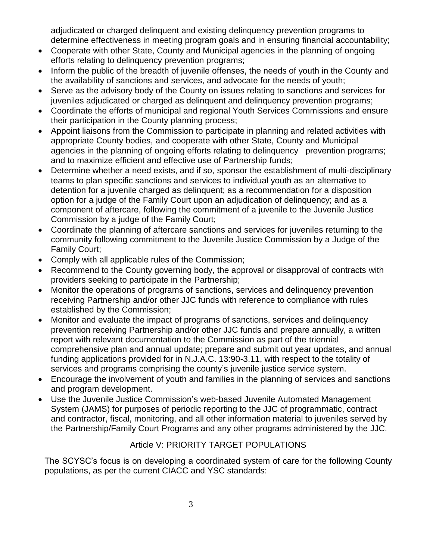adjudicated or charged delinquent and existing delinquency prevention programs to determine effectiveness in meeting program goals and in ensuring financial accountability;

- Cooperate with other State, County and Municipal agencies in the planning of ongoing efforts relating to delinquency prevention programs;
- Inform the public of the breadth of juvenile offenses, the needs of youth in the County and the availability of sanctions and services, and advocate for the needs of youth;
- Serve as the advisory body of the County on issues relating to sanctions and services for juveniles adjudicated or charged as delinquent and delinquency prevention programs;
- Coordinate the efforts of municipal and regional Youth Services Commissions and ensure their participation in the County planning process;
- Appoint liaisons from the Commission to participate in planning and related activities with appropriate County bodies, and cooperate with other State, County and Municipal agencies in the planning of ongoing efforts relating to delinquency prevention programs; and to maximize efficient and effective use of Partnership funds;
- Determine whether a need exists, and if so, sponsor the establishment of multi-disciplinary teams to plan specific sanctions and services to individual youth as an alternative to detention for a juvenile charged as delinquent; as a recommendation for a disposition option for a judge of the Family Court upon an adjudication of delinquency; and as a component of aftercare, following the commitment of a juvenile to the Juvenile Justice Commission by a judge of the Family Court;
- Coordinate the planning of aftercare sanctions and services for juveniles returning to the community following commitment to the Juvenile Justice Commission by a Judge of the Family Court;
- Comply with all applicable rules of the Commission;
- Recommend to the County governing body, the approval or disapproval of contracts with providers seeking to participate in the Partnership;
- Monitor the operations of programs of sanctions, services and delinquency prevention receiving Partnership and/or other JJC funds with reference to compliance with rules established by the Commission;
- Monitor and evaluate the impact of programs of sanctions, services and delinquency prevention receiving Partnership and/or other JJC funds and prepare annually, a written report with relevant documentation to the Commission as part of the triennial comprehensive plan and annual update; prepare and submit out year updates, and annual funding applications provided for in N.J.A.C. 13:90-3.11, with respect to the totality of services and programs comprising the county's juvenile justice service system.
- Encourage the involvement of youth and families in the planning of services and sanctions and program development.
- Use the Juvenile Justice Commission's web-based Juvenile Automated Management System (JAMS) for purposes of periodic reporting to the JJC of programmatic, contract and contractor, fiscal, monitoring, and all other information material to juveniles served by the Partnership/Family Court Programs and any other programs administered by the JJC.

## Article V: PRIORITY TARGET POPULATIONS

The SCYSC's focus is on developing a coordinated system of care for the following County populations, as per the current CIACC and YSC standards: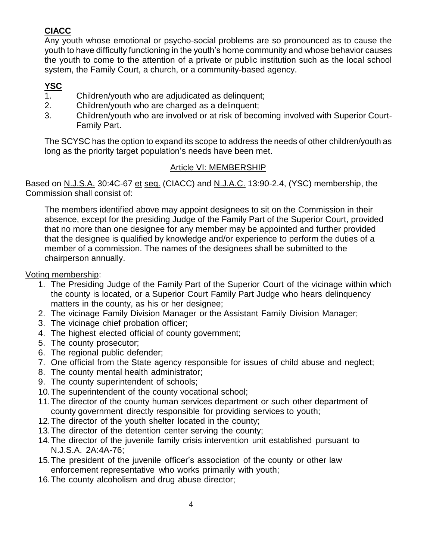# **CIACC**

Any youth whose emotional or psycho-social problems are so pronounced as to cause the youth to have difficulty functioning in the youth's home community and whose behavior causes the youth to come to the attention of a private or public institution such as the local school system, the Family Court, a church, or a community-based agency.

# **YSC**

- 1. Children/youth who are adjudicated as delinquent;
- 2. Children/youth who are charged as a delinquent;
- 3. Children/youth who are involved or at risk of becoming involved with Superior Court-Family Part.

The SCYSC has the option to expand its scope to address the needs of other children/youth as long as the priority target population's needs have been met.

#### Article VI: MEMBERSHIP

Based on N.J.S.A. 30:4C-67 et seq. (CIACC) and N.J.A.C. 13:90-2.4, (YSC) membership, the Commission shall consist of:

The members identified above may appoint designees to sit on the Commission in their absence, except for the presiding Judge of the Family Part of the Superior Court, provided that no more than one designee for any member may be appointed and further provided that the designee is qualified by knowledge and/or experience to perform the duties of a member of a commission. The names of the designees shall be submitted to the chairperson annually.

#### Voting membership:

- 1. The Presiding Judge of the Family Part of the Superior Court of the vicinage within which the county is located, or a Superior Court Family Part Judge who hears delinquency matters in the county, as his or her designee;
- 2. The vicinage Family Division Manager or the Assistant Family Division Manager;
- 3. The vicinage chief probation officer;
- 4. The highest elected official of county government;
- 5. The county prosecutor;
- 6. The regional public defender;
- 7. One official from the State agency responsible for issues of child abuse and neglect;
- 8. The county mental health administrator;
- 9. The county superintendent of schools;
- 10.The superintendent of the county vocational school;
- 11.The director of the county human services department or such other department of county government directly responsible for providing services to youth;
- 12.The director of the youth shelter located in the county;
- 13.The director of the detention center serving the county;
- 14.The director of the juvenile family crisis intervention unit established pursuant to N.J.S.A. 2A:4A-76;
- 15.The president of the juvenile officer's association of the county or other law enforcement representative who works primarily with youth;
- 16.The county alcoholism and drug abuse director;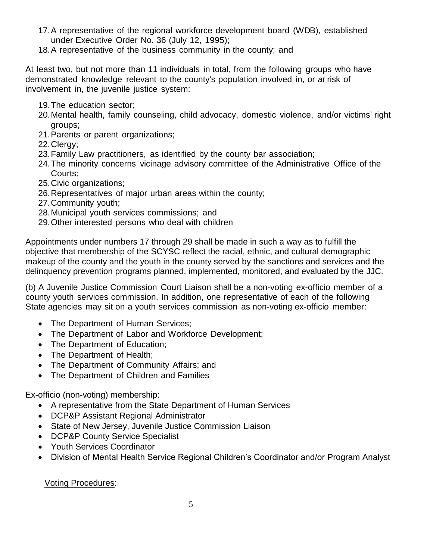- 17.A representative of the regional workforce development board (WDB), established under Executive Order No. 36 (July 12, 1995);
- 18.A representative of the business community in the county; and

At least two, but not more than 11 individuals in total, from the following groups who have demonstrated knowledge relevant to the county's population involved in, or *at* risk of involvement in, the juvenile justice system:

- 19.The education sector;
- 20.Mental health, family counseling, child advocacy, domestic violence, and/or victims' right groups;
- 21.Parents or parent organizations;
- 22.Clergy;
- 23.Family Law practitioners, as identified by the county bar association;
- 24.The minority concerns vicinage advisory committee of the Administrative Office of the Courts;
- 25.Civic organizations;
- 26.Representatives of major urban areas within the county;
- 27.Community youth;
- 28.Municipal youth services commissions; and
- 29.Other interested persons who deal with children

Appointments under numbers 17 through 29 shall be made in such a way as to fulfill the objective that membership of the SCYSC reflect the racial, ethnic, and cultural demographic makeup of the county and the youth in the county served by the sanctions and services and the delinquency prevention programs planned, implemented, monitored, and evaluated by the JJC.

(b) A Juvenile Justice Commission Court Liaison shall be a non-voting ex-officio member of a county youth services commission. In addition, one representative of each of the following State agencies may sit on a youth services commission as non-voting ex-officio member:

- The Department of Human Services;
- The Department of Labor and Workforce Development;
- The Department of Education;
- The Department of Health;
- The Department of Community Affairs; and
- The Department of Children and Families

Ex-officio (non-voting) membership:

- A representative from the State Department of Human Services
- DCP&P Assistant Regional Administrator
- State of New Jersey, Juvenile Justice Commission Liaison
- DCP&P County Service Specialist
- Youth Services Coordinator
- Division of Mental Health Service Regional Children's Coordinator and/or Program Analyst

#### Voting Procedures: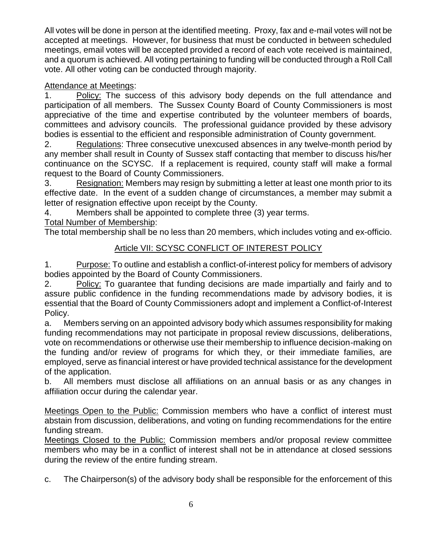All votes will be done in person at the identified meeting. Proxy, fax and e-mail votes will not be accepted at meetings. However, for business that must be conducted in between scheduled meetings, email votes will be accepted provided a record of each vote received is maintained, and a quorum is achieved. All voting pertaining to funding will be conducted through a Roll Call vote. All other voting can be conducted through majority.

# Attendance at Meetings:

1. Policy: The success of this advisory body depends on the full attendance and participation of all members. The Sussex County Board of County Commissioners is most appreciative of the time and expertise contributed by the volunteer members of boards, committees and advisory councils. The professional guidance provided by these advisory bodies is essential to the efficient and responsible administration of County government.

2. Regulations: Three consecutive unexcused absences in any twelve-month period by any member shall result in County of Sussex staff contacting that member to discuss his/her continuance on the SCYSC. If a replacement is required, county staff will make a formal request to the Board of County Commissioners.

3. Resignation: Members may resign by submitting a letter at least one month prior to its effective date. In the event of a sudden change of circumstances, a member may submit a letter of resignation effective upon receipt by the County.

4. Members shall be appointed to complete three (3) year terms.

Total Number of Membership:

The total membership shall be no less than 20 members, which includes voting and ex-officio.

# Article VII: SCYSC CONFLICT OF INTEREST POLICY

1. Purpose: To outline and establish a conflict-of-interest policy for members of advisory bodies appointed by the Board of County Commissioners.

2. Policy: To guarantee that funding decisions are made impartially and fairly and to assure public confidence in the funding recommendations made by advisory bodies, it is essential that the Board of County Commissioners adopt and implement a Conflict-of-Interest Policy.

a. Members serving on an appointed advisory body which assumes responsibility for making funding recommendations may not participate in proposal review discussions, deliberations, vote on recommendations or otherwise use their membership to influence decision-making on the funding and/or review of programs for which they, or their immediate families, are employed, serve as financial interest or have provided technical assistance for the development of the application.

b. All members must disclose all affiliations on an annual basis or as any changes in affiliation occur during the calendar year.

Meetings Open to the Public: Commission members who have a conflict of interest must abstain from discussion, deliberations, and voting on funding recommendations for the entire funding stream.

Meetings Closed to the Public: Commission members and/or proposal review committee members who may be in a conflict of interest shall not be in attendance at closed sessions during the review of the entire funding stream.

c. The Chairperson(s) of the advisory body shall be responsible for the enforcement of this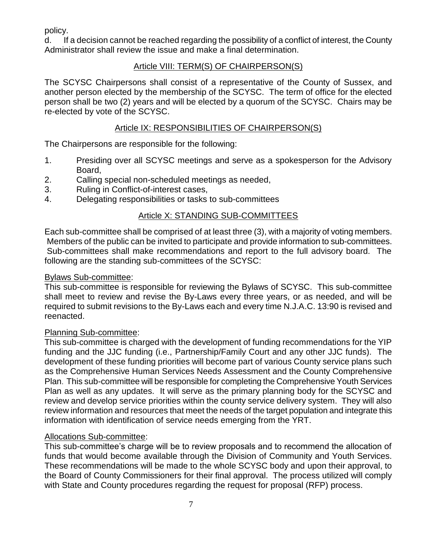policy.

d. If a decision cannot be reached regarding the possibility of a conflict of interest, the County Administrator shall review the issue and make a final determination.

# Article VIII: TERM(S) OF CHAIRPERSON(S)

The SCYSC Chairpersons shall consist of a representative of the County of Sussex, and another person elected by the membership of the SCYSC. The term of office for the elected person shall be two (2) years and will be elected by a quorum of the SCYSC. Chairs may be re-elected by vote of the SCYSC.

### Article IX: RESPONSIBILITIES OF CHAIRPERSON(S)

The Chairpersons are responsible for the following:

- 1. Presiding over all SCYSC meetings and serve as a spokesperson for the Advisory Board,
- 2. Calling special non-scheduled meetings as needed,
- 3. Ruling in Conflict-of-interest cases,
- 4. Delegating responsibilities or tasks to sub-committees

## Article X: STANDING SUB-COMMITTEES

Each sub-committee shall be comprised of at least three (3), with a majority of voting members. Members of the public can be invited to participate and provide information to sub-committees. Sub-committees shall make recommendations and report to the full advisory board. The following are the standing sub-committees of the SCYSC:

#### Bylaws Sub-committee:

This sub-committee is responsible for reviewing the Bylaws of SCYSC. This sub-committee shall meet to review and revise the By-Laws every three years, or as needed, and will be required to submit revisions to the By-Laws each and every time N.J.A.C. 13:90 is revised and reenacted.

#### Planning Sub-committee:

This sub-committee is charged with the development of funding recommendations for the YIP funding and the JJC funding (i.e., Partnership/Family Court and any other JJC funds). The development of these funding priorities will become part of various County service plans such as the Comprehensive Human Services Needs Assessment and the County Comprehensive Plan. This sub-committee will be responsible for completing the Comprehensive Youth Services Plan as well as any updates. It will serve as the primary planning body for the SCYSC and review and develop service priorities within the county service delivery system. They will also review information and resources that meet the needs of the target population and integrate this information with identification of service needs emerging from the YRT.

#### Allocations Sub-committee:

This sub-committee's charge will be to review proposals and to recommend the allocation of funds that would become available through the Division of Community and Youth Services. These recommendations will be made to the whole SCYSC body and upon their approval, to the Board of County Commissioners for their final approval. The process utilized will comply with State and County procedures regarding the request for proposal (RFP) process.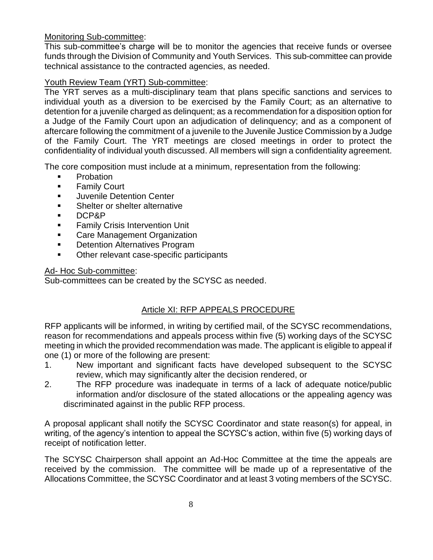#### Monitoring Sub-committee:

This sub-committee's charge will be to monitor the agencies that receive funds or oversee funds through the Division of Community and Youth Services. This sub-committee can provide technical assistance to the contracted agencies, as needed.

#### Youth Review Team (YRT) Sub-committee:

The YRT serves as a multi-disciplinary team that plans specific sanctions and services to individual youth as a diversion to be exercised by the Family Court; as an alternative to detention for a juvenile charged as delinquent; as a recommendation for a disposition option for a Judge of the Family Court upon an adjudication of delinquency; and as a component of aftercare following the commitment of a juvenile to the Juvenile Justice Commission by a Judge of the Family Court. The YRT meetings are closed meetings in order to protect the confidentiality of individual youth discussed. All members will sign a confidentiality agreement.

The core composition must include at a minimum, representation from the following:

- **•** Probation
- **Family Court**
- **Juvenile Detention Center**
- **Shelter or shelter alternative**
- DCP&P
- **Family Crisis Intervention Unit**
- **EXEC** Care Management Organization
- **Detention Alternatives Program**
- Other relevant case-specific participants

#### Ad- Hoc Sub-committee:

Sub-committees can be created by the SCYSC as needed.

## Article XI: RFP APPEALS PROCEDURE

RFP applicants will be informed, in writing by certified mail, of the SCYSC recommendations, reason for recommendations and appeals process within five (5) working days of the SCYSC meeting in which the provided recommendation was made. The applicant is eligible to appeal if one (1) or more of the following are present:

- 1. New important and significant facts have developed subsequent to the SCYSC review, which may significantly alter the decision rendered, or
- 2. The RFP procedure was inadequate in terms of a lack of adequate notice/public information and/or disclosure of the stated allocations or the appealing agency was discriminated against in the public RFP process.

A proposal applicant shall notify the SCYSC Coordinator and state reason(s) for appeal, in writing, of the agency's intention to appeal the SCYSC's action, within five (5) working days of receipt of notification letter.

The SCYSC Chairperson shall appoint an Ad-Hoc Committee at the time the appeals are received by the commission. The committee will be made up of a representative of the Allocations Committee, the SCYSC Coordinator and at least 3 voting members of the SCYSC.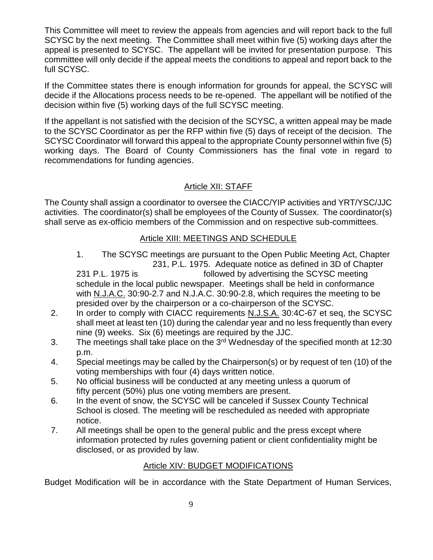This Committee will meet to review the appeals from agencies and will report back to the full SCYSC by the next meeting. The Committee shall meet within five (5) working days after the appeal is presented to SCYSC. The appellant will be invited for presentation purpose. This committee will only decide if the appeal meets the conditions to appeal and report back to the full SCYSC.

If the Committee states there is enough information for grounds for appeal, the SCYSC will decide if the Allocations process needs to be re-opened. The appellant will be notified of the decision within five (5) working days of the full SCYSC meeting.

If the appellant is not satisfied with the decision of the SCYSC, a written appeal may be made to the SCYSC Coordinator as per the RFP within five (5) days of receipt of the decision. The SCYSC Coordinator will forward this appeal to the appropriate County personnel within five (5) working days. The Board of County Commissioners has the final vote in regard to recommendations for funding agencies.

# Article XII: STAFF

The County shall assign a coordinator to oversee the CIACC/YIP activities and YRT/YSC/JJC activities. The coordinator(s) shall be employees of the County of Sussex. The coordinator(s) shall serve as ex-officio members of the Commission and on respective sub-committees.

## Article XIII: MEETINGS AND SCHEDULE

- 1. The SCYSC meetings are pursuant to the Open Public Meeting Act, Chapter 231, P.L. 1975. Adequate notice as defined in 3D of Chapter 231 P.L. 1975 is followed by advertising the SCYSC meeting schedule in the local public newspaper. Meetings shall be held in conformance with N.J.A.C. 30:90-2.7 and N.J.A.C. 30:90-2.8, which requires the meeting to be presided over by the chairperson or a co-chairperson of the SCYSC.
- 2. In order to comply with CIACC requirements N.J.S.A. 30:4C-67 et seq, the SCYSC shall meet at least ten (10) during the calendar year and no less frequently than every nine (9) weeks. Six (6) meetings are required by the JJC.
- 3. The meetings shall take place on the  $3<sup>rd</sup>$  Wednesday of the specified month at 12:30 p.m.
- 4. Special meetings may be called by the Chairperson(s) or by request of ten (10) of the voting memberships with four (4) days written notice.
- 5. No official business will be conducted at any meeting unless a quorum of fifty percent (50%) plus one voting members are present.
- 6. In the event of snow, the SCYSC will be canceled if Sussex County Technical School is closed. The meeting will be rescheduled as needed with appropriate notice.
- 7. All meetings shall be open to the general public and the press except where information protected by rules governing patient or client confidentiality might be disclosed, or as provided by law.

## Article XIV: BUDGET MODIFICATIONS

Budget Modification will be in accordance with the State Department of Human Services,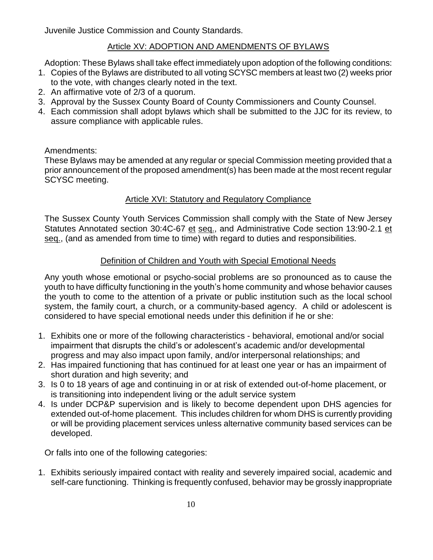Juvenile Justice Commission and County Standards.

#### Article XV: ADOPTION AND AMENDMENTS OF BYLAWS

Adoption: These Bylaws shall take effect immediately upon adoption of the following conditions:

- 1. Copies of the Bylaws are distributed to all voting SCYSC members at least two (2) weeks prior to the vote, with changes clearly noted in the text.
- 2. An affirmative vote of 2/3 of a quorum.
- 3. Approval by the Sussex County Board of County Commissioners and County Counsel.
- 4. Each commission shall adopt bylaws which shall be submitted to the JJC for its review, to assure compliance with applicable rules.

#### Amendments:

These Bylaws may be amended at any regular or special Commission meeting provided that a prior announcement of the proposed amendment(s) has been made at the most recent regular SCYSC meeting.

#### Article XVI: Statutory and Regulatory Compliance

The Sussex County Youth Services Commission shall comply with the State of New Jersey Statutes Annotated section 30:4C-67 et seq., and Administrative Code section 13:90-2.1 et seq., (and as amended from time to time) with regard to duties and responsibilities.

#### Definition of Children and Youth with Special Emotional Needs

Any youth whose emotional or psycho-social problems are so pronounced as to cause the youth to have difficulty functioning in the youth's home community and whose behavior causes the youth to come to the attention of a private or public institution such as the local school system, the family court, a church, or a community-based agency. A child or adolescent is considered to have special emotional needs under this definition if he or she:

- 1. Exhibits one or more of the following characteristics behavioral, emotional and/or social impairment that disrupts the child's or adolescent's academic and/or developmental progress and may also impact upon family, and/or interpersonal relationships; and
- 2. Has impaired functioning that has continued for at least one year or has an impairment of short duration and high severity; and
- 3. Is 0 to 18 years of age and continuing in or at risk of extended out-of-home placement, or is transitioning into independent living or the adult service system
- 4. Is under DCP&P supervision and is likely to become dependent upon DHS agencies for extended out-of-home placement. This includes children for whom DHS is currently providing or will be providing placement services unless alternative community based services can be developed.

Or falls into one of the following categories:

1. Exhibits seriously impaired contact with reality and severely impaired social, academic and self-care functioning. Thinking is frequently confused, behavior may be grossly inappropriate